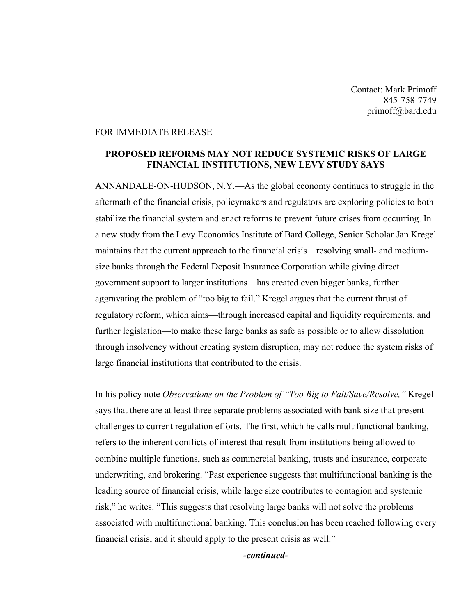## FOR IMMEDIATE RELEASE

## **PROPOSED REFORMS MAY NOT REDUCE SYSTEMIC RISKS OF LARGE FINANCIAL INSTITUTIONS, NEW LEVY STUDY SAYS**

ANNANDALE-ON-HUDSON, N.Y.—As the global economy continues to struggle in the aftermath of the financial crisis, policymakers and regulators are exploring policies to both stabilize the financial system and enact reforms to prevent future crises from occurring. In a new study from the Levy Economics Institute of Bard College, Senior Scholar Jan Kregel maintains that the current approach to the financial crisis—resolving small- and mediumsize banks through the Federal Deposit Insurance Corporation while giving direct government support to larger institutions—has created even bigger banks, further aggravating the problem of "too big to fail." Kregel argues that the current thrust of regulatory reform, which aims—through increased capital and liquidity requirements, and further legislation—to make these large banks as safe as possible or to allow dissolution through insolvency without creating system disruption, may not reduce the system risks of large financial institutions that contributed to the crisis.

In his policy note *Observations on the Problem of "Too Big to Fail/Save/Resolve,"* Kregel says that there are at least three separate problems associated with bank size that present challenges to current regulation efforts. The first, which he calls multifunctional banking, refers to the inherent conflicts of interest that result from institutions being allowed to combine multiple functions, such as commercial banking, trusts and insurance, corporate underwriting, and brokering. "Past experience suggests that multifunctional banking is the leading source of financial crisis, while large size contributes to contagion and systemic risk," he writes. "This suggests that resolving large banks will not solve the problems associated with multifunctional banking. This conclusion has been reached following every financial crisis, and it should apply to the present crisis as well."

*-continued-*